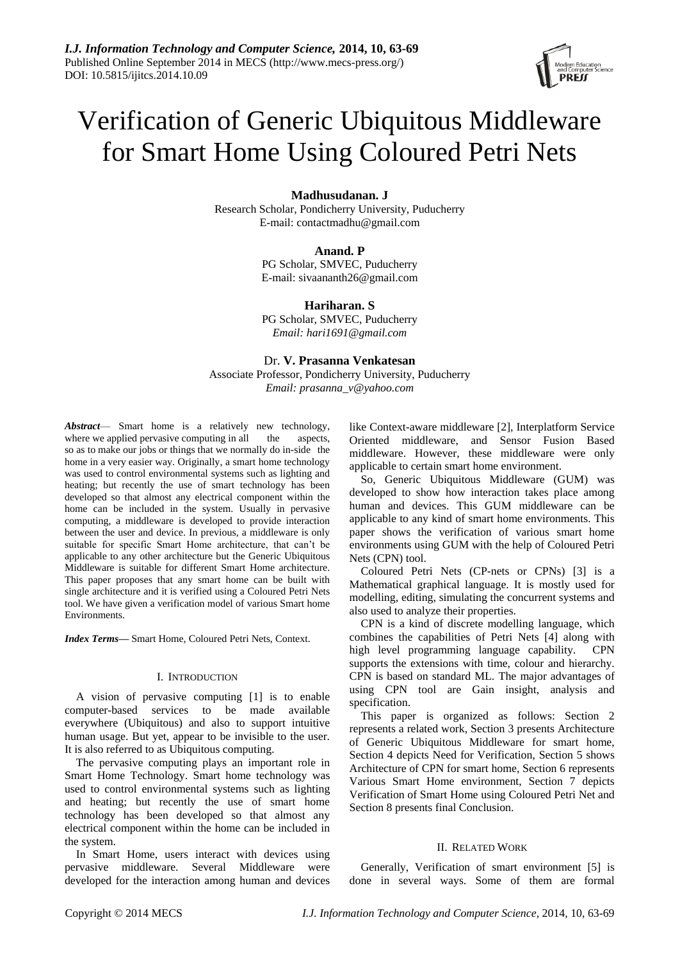# Verification of Generic Ubiquitous Middleware for Smart Home Using Coloured Petri Nets

# **Madhusudanan. J**

Research Scholar, Pondicherry University, Puducherry E-mail: contactmadhu@gmail.com

# **Anand. P**

PG Scholar, SMVEC, Puducherry E-mail[: sivaananth26@gmail.com](mailto:fxzhu@public.wh.hb.cn)

**Hariharan. S** PG Scholar, SMVEC, Puducherry *Email[: hari1691@gmail.com](mailto:fxzhu@public.wh.hb.cn)*

Dr. **V. Prasanna Venkatesan** Associate Professor, Pondicherry University, Puducherry *Email[: prasanna\\_v@yahoo.com](mailto:fxzhu@public.wh.hb.cn)*

*Abstract*— Smart home is a relatively new technology, where we applied pervasive computing in all the aspects, so as to make our jobs or things that we normally do in-side the home in a very easier way. Originally, a smart home technology was used to control environmental systems such as lighting and heating; but recently the use of smart technology has been developed so that almost any electrical component within the home can be included in the system. Usually in pervasive computing, a middleware is developed to provide interaction between the user and device. In previous, a middleware is only suitable for specific Smart Home architecture, that can't be applicable to any other architecture but the Generic Ubiquitous Middleware is suitable for different Smart Home architecture. This paper proposes that any smart home can be built with single architecture and it is verified using a Coloured Petri Nets tool. We have given a verification model of various Smart home Environments.

*Index Terms***—** Smart Home, Coloured Petri Nets, Context.

#### I. INTRODUCTION

A vision of pervasive computing [1] is to enable computer-based services to be made available everywhere (Ubiquitous) and also to support intuitive human usage. But yet, appear to be invisible to the user. It is also referred to as Ubiquitous computing.

The pervasive computing plays an important role in Smart Home Technology. Smart home technology was used to control environmental systems such as lighting and heating; but recently the use of smart home technology has been developed so that almost any electrical component within the home can be included in the system.

In Smart Home, users interact with devices using pervasive middleware. Several Middleware were developed for the interaction among human and devices like Context-aware middleware [2], Interplatform Service Oriented middleware, and Sensor Fusion Based middleware. However, these middleware were only applicable to certain smart home environment.

So, Generic Ubiquitous Middleware (GUM) was developed to show how interaction takes place among human and devices. This GUM middleware can be applicable to any kind of smart home environments. This paper shows the verification of various smart home environments using GUM with the help of Coloured Petri Nets (CPN) tool.

Coloured Petri Nets (CP-nets or CPNs) [3] is a Mathematical graphical language. It is mostly used for modelling, editing, simulating the concurrent systems and also used to analyze their properties.

CPN is a kind of discrete modelling language, which combines the capabilities of Petri Nets [4] along with high level programming language capability. CPN supports the extensions with time, colour and hierarchy. CPN is based on standard ML. The major advantages of using CPN tool are Gain insight, analysis and specification.

This paper is organized as follows: Section 2 represents a related work, Section 3 presents Architecture of Generic Ubiquitous Middleware for smart home, Section 4 depicts Need for Verification, Section 5 shows Architecture of CPN for smart home, Section 6 represents Various Smart Home environment, Section 7 depicts Verification of Smart Home using Coloured Petri Net and Section 8 presents final Conclusion.

## II. RELATED WORK

Generally, Verification of smart environment [5] is done in several ways. Some of them are formal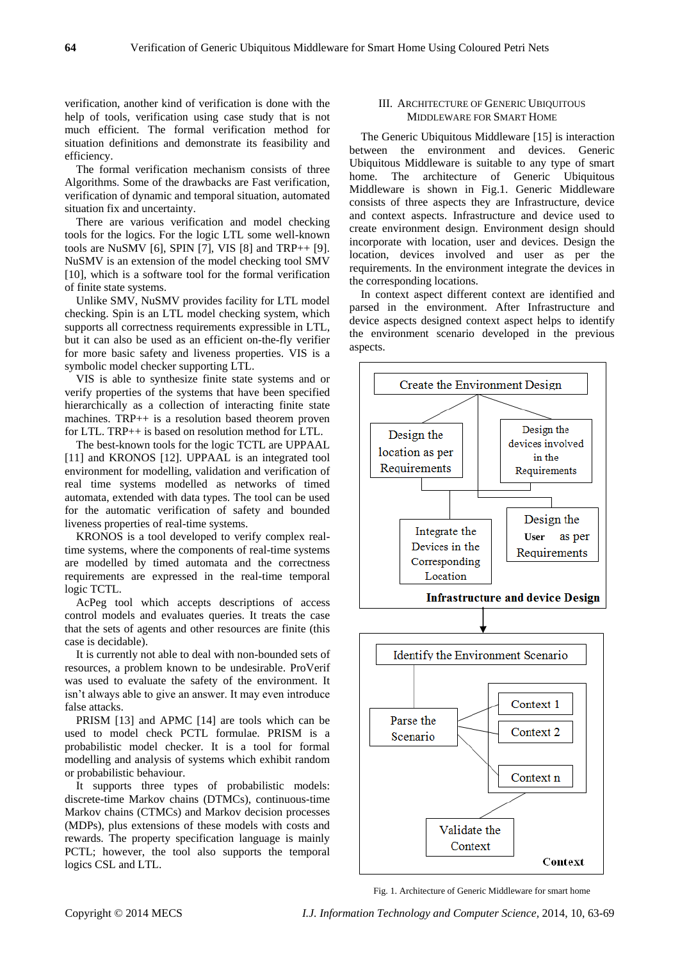verification, another kind of verification is done with the help of tools, verification using case study that is not much efficient. The formal verification method for situation definitions and demonstrate its feasibility and efficiency.

The formal verification mechanism consists of three Algorithms. Some of the drawbacks are Fast verification, verification of dynamic and temporal situation, automated situation fix and uncertainty.

There are various verification and model checking tools for the logics. For the logic LTL some well-known tools are NuSMV [6], SPIN [7], VIS [8] and TRP++ [9]. NuSMV is an extension of the model checking tool SMV [10], which is a software tool for the formal verification of finite state systems.

Unlike SMV, NuSMV provides facility for LTL model checking. Spin is an LTL model checking system, which supports all correctness requirements expressible in LTL, but it can also be used as an efficient on-the-fly verifier for more basic safety and liveness properties. VIS is a symbolic model checker supporting LTL.

VIS is able to synthesize finite state systems and or verify properties of the systems that have been specified hierarchically as a collection of interacting finite state machines. TRP++ is a resolution based theorem proven for LTL. TRP++ is based on resolution method for LTL.

The best-known tools for the logic TCTL are UPPAAL [11] and KRONOS [12]. UPPAAL is an integrated tool environment for modelling, validation and verification of real time systems modelled as networks of timed automata, extended with data types. The tool can be used for the automatic verification of safety and bounded liveness properties of real-time systems.

KRONOS is a tool developed to verify complex realtime systems, where the components of real-time systems are modelled by timed automata and the correctness requirements are expressed in the real-time temporal logic TCTL.

AcPeg tool which accepts descriptions of access control models and evaluates queries. It treats the case that the sets of agents and other resources are finite (this case is decidable).

It is currently not able to deal with non-bounded sets of resources, a problem known to be undesirable. ProVerif was used to evaluate the safety of the environment. It isn't always able to give an answer. It may even introduce false attacks.

PRISM [13] and APMC [14] are tools which can be used to model check PCTL formulae. PRISM is a probabilistic model checker. It is a tool for formal modelling and analysis of systems which exhibit random or probabilistic behaviour.

It supports three types of probabilistic models: discrete-time Markov chains (DTMCs), continuous-time Markov chains (CTMCs) and Markov decision processes (MDPs), plus extensions of these models with costs and rewards. The property specification language is mainly PCTL; however, the tool also supports the temporal logics CSL and LTL.

#### III. ARCHITECTURE OF GENERIC UBIQUITOUS MIDDLEWARE FOR SMART HOME

The Generic Ubiquitous Middleware [15] is interaction between the environment and devices. Generic Ubiquitous Middleware is suitable to any type of smart home. The architecture of Generic Ubiquitous Middleware is shown in Fig.1. Generic Middleware consists of three aspects they are Infrastructure, device and context aspects. Infrastructure and device used to create environment design. Environment design should incorporate with location, user and devices. Design the location, devices involved and user as per the requirements. In the environment integrate the devices in the corresponding locations.

In context aspect different context are identified and parsed in the environment. After Infrastructure and device aspects designed context aspect helps to identify the environment scenario developed in the previous aspects.



Fig. 1. Architecture of Generic Middleware for smart home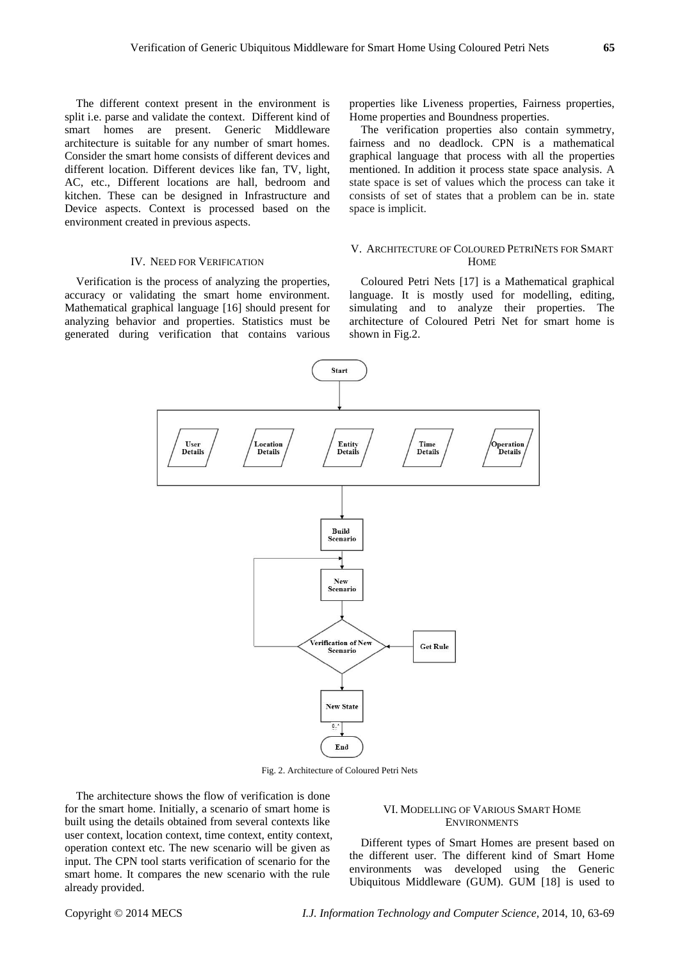The different context present in the environment is split i.e. parse and validate the context. Different kind of smart homes are present. Generic Middleware architecture is suitable for any number of smart homes. Consider the smart home consists of different devices and different location. Different devices like fan, TV, light, AC, etc., Different locations are hall, bedroom and kitchen. These can be designed in Infrastructure and Device aspects. Context is processed based on the environment created in previous aspects.

#### IV. NEED FOR VERIFICATION

Verification is the process of analyzing the properties, accuracy or validating the smart home environment. Mathematical graphical language [16] should present for analyzing behavior and properties. Statistics must be generated during verification that contains various properties like Liveness properties, Fairness properties, Home properties and Boundness properties.

The verification properties also contain symmetry, fairness and no deadlock. CPN is a mathematical graphical language that process with all the properties mentioned. In addition it process state space analysis. A state space is set of values which the process can take it consists of set of states that a problem can be in. state space is implicit.

#### V. ARCHITECTURE OF COLOURED PETRINETS FOR SMART **HOME**

Coloured Petri Nets [17] is a Mathematical graphical language. It is mostly used for modelling, editing, simulating and to analyze their properties. The architecture of Coloured Petri Net for smart home is shown in Fig.2.



Fig. 2. Architecture of Coloured Petri Nets

The architecture shows the flow of verification is done for the smart home. Initially, a scenario of smart home is built using the details obtained from several contexts like user context, location context, time context, entity context, operation context etc. The new scenario will be given as input. The CPN tool starts verification of scenario for the smart home. It compares the new scenario with the rule already provided.

#### VI. MODELLING OF VARIOUS SMART HOME **ENVIRONMENTS**

Different types of Smart Homes are present based on the different user. The different kind of Smart Home environments was developed using the Generic Ubiquitous Middleware (GUM). GUM [18] is used to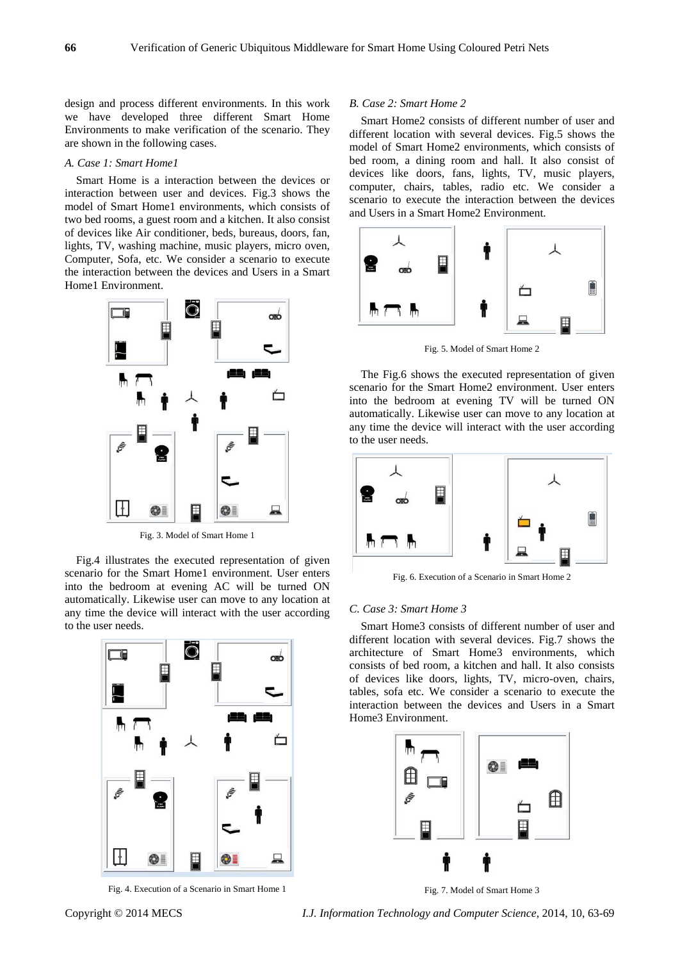design and process different environments. In this work we have developed three different Smart Home Environments to make verification of the scenario. They are shown in the following cases.

#### *A. Case 1: Smart Home1*

Smart Home is a interaction between the devices or interaction between user and devices. Fig.3 shows the model of Smart Home1 environments, which consists of two bed rooms, a guest room and a kitchen. It also consist of devices like Air conditioner, beds, bureaus, doors, fan, lights, TV, washing machine, music players, micro oven, Computer, Sofa, etc. We consider a scenario to execute the interaction between the devices and Users in a Smart Home1 Environment.



Fig. 3. Model of Smart Home 1

Fig.4 illustrates the executed representation of given scenario for the Smart Home1 environment. User enters into the bedroom at evening AC will be turned ON automatically. Likewise user can move to any location at any time the device will interact with the user according to the user needs.



Fig. 4. Execution of a Scenario in Smart Home 1

#### *B. Case 2: Smart Home 2*

Smart Home2 consists of different number of user and different location with several devices. Fig.5 shows the model of Smart Home2 environments, which consists of bed room, a dining room and hall. It also consist of devices like doors, fans, lights, TV, music players, computer, chairs, tables, radio etc. We consider a scenario to execute the interaction between the devices and Users in a Smart Home2 Environment.



Fig. 5. Model of Smart Home 2

The Fig.6 shows the executed representation of given scenario for the Smart Home2 environment. User enters into the bedroom at evening TV will be turned ON automatically. Likewise user can move to any location at any time the device will interact with the user according to the user needs.



Fig. 6. Execution of a Scenario in Smart Home 2

#### *C. Case 3: Smart Home 3*

Smart Home3 consists of different number of user and different location with several devices. Fig.7 shows the architecture of Smart Home3 environments, which consists of bed room, a kitchen and hall. It also consists of devices like doors, lights, TV, micro-oven, chairs, tables, sofa etc. We consider a scenario to execute the interaction between the devices and Users in a Smart Home3 Environment.



Fig. 7. Model of Smart Home 3

Copyright © 2014 MECS *I.J. Information Technology and Computer Science,* 2014, 10, 63-69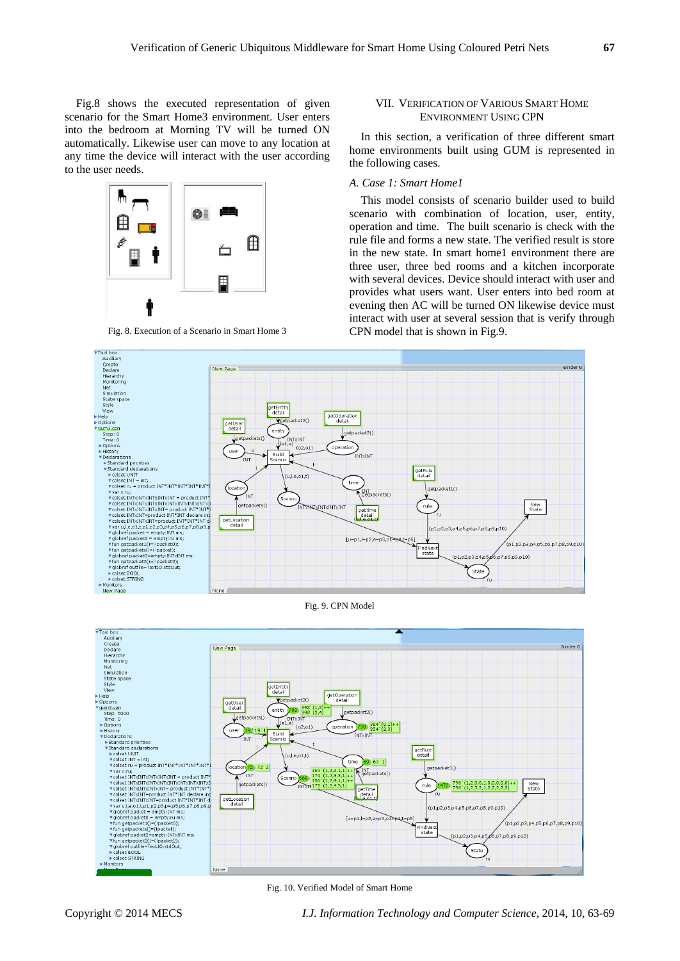Fig.8 shows the executed representation of given scenario for the Smart Home3 environment. User enters into the bedroom at Morning TV will be turned ON automatically. Likewise user can move to any location at any time the device will interact with the user according to the user needs.



#### VII. VERIFICATION OF VARIOUS SMART HOME ENVIRONMENT USING CPN

In this section, a verification of three different smart home environments built using GUM is represented in the following cases.

### *A. Case 1: Smart Home1*

This model consists of scenario builder used to build scenario with combination of location, user, entity, operation and time. The built scenario is check with the rule file and forms a new state. The verified result is store in the new state. In smart home1 environment there are three user, three bed rooms and a kitchen incorporate with several devices. Device should interact with user and provides what users want. User enters into bed room at evening then AC will be turned ON likewise device must interact with user at several session that is verify through CPN model that is shown in Fig.9.



Fig. 9. CPN Model



Fig. 10. Verified Model of Smart Home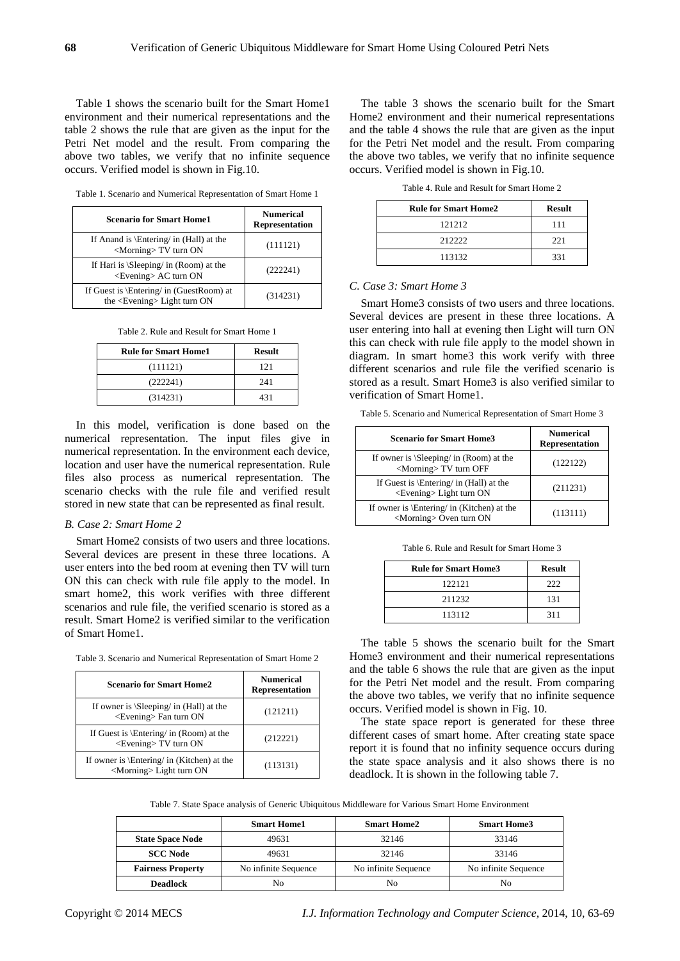Table 1 shows the scenario built for the Smart Home1 environment and their numerical representations and the table 2 shows the rule that are given as the input for the Petri Net model and the result. From comparing the above two tables, we verify that no infinite sequence occurs. Verified model is shown in Fig.10.

| <b>Scenario for Smart Home1</b>                                          | <b>Numerical</b><br><b>Representation</b> |
|--------------------------------------------------------------------------|-------------------------------------------|
| If Anand is \Entering/ in (Hall) at the<br><morning>TV turn ON</morning> | (111121)                                  |
| If Hari is $\S$ eeping in (Room) at the                                  | (0.00011)                                 |

 $\epsilon$  is  $\text{S}$  at the set  $\epsilon$  and  $\epsilon$  (222241)<br>  $\epsilon$  (222241)

the  $\epsilon$ Evening Light turn ON (314231)

Table 1. Scenario and Numerical Representation of Smart Home 1

|  | Table 2. Rule and Result for Smart Home 1 |  |  |
|--|-------------------------------------------|--|--|
|  |                                           |  |  |

If Guest is \Entering/ in (GuestRoom) at

| <b>Rule for Smart Home1</b> | <b>Result</b> |
|-----------------------------|---------------|
| (111121)                    | 121           |
| (222241)                    | 241           |
| (314231)                    | 431           |

In this model, verification is done based on the numerical representation. The input files give in numerical representation. In the environment each device, location and user have the numerical representation. Rule files also process as numerical representation. The scenario checks with the rule file and verified result stored in new state that can be represented as final result.

#### *B. Case 2: Smart Home 2*

Smart Home2 consists of two users and three locations. Several devices are present in these three locations. A user enters into the bed room at evening then TV will turn ON this can check with rule file apply to the model. In smart home2, this work verifies with three different scenarios and rule file, the verified scenario is stored as a result. Smart Home2 is verified similar to the verification of Smart Home1.

| <b>Scenario for Smart Home2</b>                                                | <b>Numerical</b><br><b>Representation</b> |
|--------------------------------------------------------------------------------|-------------------------------------------|
| If owner is $\Beeping/$ in (Hall) at the<br>$\leq$ Evening $\geq$ Fan turn ON  | (121211)                                  |
| If Guest is $\Epsilon / \in (Room)$ at the<br>$\leq$ Evening $>$ TV turn ON    | (212221)                                  |
| If owner is \Entering/ in (Kitchen) at the<br><morning>Light turn ON</morning> | (113131)                                  |

The table 3 shows the scenario built for the Smart Home2 environment and their numerical representations and the table 4 shows the rule that are given as the input for the Petri Net model and the result. From comparing the above two tables, we verify that no infinite sequence occurs. Verified model is shown in Fig.10.

Table 4. Rule and Result for Smart Home 2

| <b>Rule for Smart Home2</b> | <b>Result</b> |
|-----------------------------|---------------|
| 121212                      | 111           |
| 212222                      | 221           |
| 113132                      | 331           |

#### *C. Case 3: Smart Home 3*

Smart Home3 consists of two users and three locations. Several devices are present in these three locations. A user entering into hall at evening then Light will turn ON this can check with rule file apply to the model shown in diagram. In smart home3 this work verify with three different scenarios and rule file the verified scenario is stored as a result. Smart Home3 is also verified similar to verification of Smart Home1.

| Table 5. Scenario and Numerical Representation of Smart Home 3 |  |
|----------------------------------------------------------------|--|
|----------------------------------------------------------------|--|

| <b>Scenario for Smart Home3</b>                                                | <b>Numerical</b><br><b>Representation</b> |
|--------------------------------------------------------------------------------|-------------------------------------------|
| If owner is $\S$ eeping in (Room) at the<br><morning>TV turn OFF</morning>     | (122122)                                  |
| If Guest is \Entering/ in (Hall) at the<br><evening> Light turn ON</evening>   | (211231)                                  |
| If owner is \Entering/ in (Kitchen) at the<br><morning> Oven turn ON</morning> | (113111)                                  |

Table 6. Rule and Result for Smart Home 3

| <b>Rule for Smart Home3</b> | <b>Result</b> |
|-----------------------------|---------------|
| 122121                      | 222           |
| 211232                      | 131           |
| 113112                      | 311           |

The table 5 shows the scenario built for the Smart Home3 environment and their numerical representations and the table 6 shows the rule that are given as the input for the Petri Net model and the result. From comparing the above two tables, we verify that no infinite sequence occurs. Verified model is shown in Fig. 10.

The state space report is generated for these three different cases of smart home. After creating state space report it is found that no infinity sequence occurs during the state space analysis and it also shows there is no deadlock. It is shown in the following table 7.

Table 7. State Space analysis of Generic Ubiquitous Middleware for Various Smart Home Environment

|                          | <b>Smart Home1</b>   | <b>Smart Home2</b>   | <b>Smart Home3</b>   |
|--------------------------|----------------------|----------------------|----------------------|
| <b>State Space Node</b>  | 49631                | 32146                | 33146                |
| <b>SCC Node</b>          | 49631                | 32146                | 33146                |
| <b>Fairness Property</b> | No infinite Sequence | No infinite Sequence | No infinite Sequence |
| <b>Deadlock</b>          | Nο                   | No                   | No.                  |